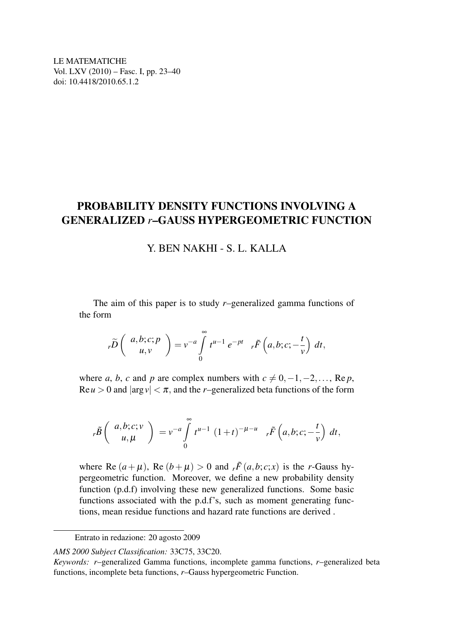LE MATEMATICHE Vol. LXV (2010) – Fasc. I, pp. 23–40 doi: 10.4418/2010.65.1.2

# PROBABILITY DENSITY FUNCTIONS INVOLVING A GENERALIZED *r*–GAUSS HYPERGEOMETRIC FUNCTION

## Y. BEN NAKHI - S. L. KALLA

The aim of this paper is to study *r*–generalized gamma functions of the form

$$
{}_{r}\widetilde{D}\left(\begin{array}{c} a,b;c;p\\ u,v\end{array}\right)=v^{-a}\int\limits_{0}^{\infty}t^{u-1}e^{-pt}{}_{r}\widetilde{F}\left(a,b;c;-\frac{t}{v}\right)dt,
$$

where *a*, *b*, *c* and *p* are complex numbers with  $c \neq 0, -1, -2, \ldots$ , Re *p*,  $\text{Re}\,u > 0$  and  $|\arg v| < \pi$ , and the *r*–generalized beta functions of the form

$$
{}_{r}\tilde{B}\left(\begin{array}{c} a,b;c;v\\u,\mu\end{array}\right) =v^{-a}\int\limits_{0}^{\infty}t^{u-1}(1+t)^{-\mu-u}{}_{r}\tilde{F}\left(a,b;c;-\frac{t}{v}\right)dt,
$$

where Re  $(a + \mu)$ , Re  $(b + \mu) > 0$  and  $r \tilde{F}(a, b; c; x)$  is the *r*-Gauss hypergeometric function. Moreover, we define a new probability density function (p.d.f) involving these new generalized functions. Some basic functions associated with the p.d.f's, such as moment generating functions, mean residue functions and hazard rate functions are derived .

Entrato in redazione: 20 agosto 2009

*AMS 2000 Subject Classification:* 33C75, 33C20.

*Keywords: r*–generalized Gamma functions, incomplete gamma functions, *r*–generalized beta functions, incomplete beta functions, *r*–Gauss hypergeometric Function.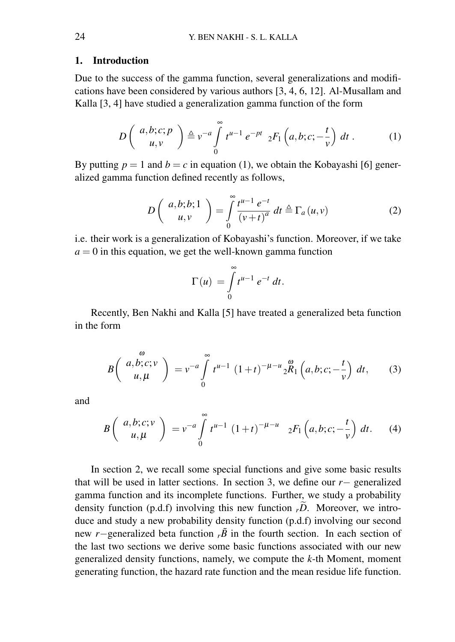#### 1. Introduction

Due to the success of the gamma function, several generalizations and modifications have been considered by various authors [3, 4, 6, 12]. Al-Musallam and Kalla [3, 4] have studied a generalization gamma function of the form

$$
D\left(\begin{array}{c}a,b;c;p\\u,v\end{array}\right)\triangleq v^{-a}\int\limits_{0}^{\infty}t^{u-1}e^{-pt} {}_{2}F_{1}\left(a,b;c;-\frac{t}{v}\right)dt.
$$
 (1)

By putting  $p = 1$  and  $b = c$  in equation (1), we obtain the Kobayashi [6] generalized gamma function defined recently as follows,

$$
D\left(\begin{array}{c}a,b;b;1\\u,v\end{array}\right)=\int\limits_{0}^{\infty}\frac{t^{u-1}e^{-t}}{\left(v+t\right)^{a}}\,dt\triangleq\Gamma_{a}\left(u,v\right)\tag{2}
$$

i.e. their work is a generalization of Kobayashi's function. Moreover, if we take  $a = 0$  in this equation, we get the well-known gamma function

$$
\Gamma(u) = \int_{0}^{\infty} t^{u-1} e^{-t} dt.
$$

Recently, Ben Nakhi and Kalla [5] have treated a generalized beta function in the form

$$
B\left(\begin{array}{c}a, b; c; v\\u, \mu\end{array}\right) = v^{-a} \int_{0}^{\infty} t^{u-1} (1+t)^{-\mu-u} {}_{2}^{\infty} R_{1}\left(a, b; c; -\frac{t}{v}\right) dt, \qquad (3)
$$

and

$$
B\left(\begin{array}{c} a,b;c;\nu\\ u,\mu \end{array}\right) = v^{-a} \int_{0}^{\infty} t^{u-1} (1+t)^{-\mu-u} 2F_1\left(a,b;c;-\frac{t}{\nu}\right) dt. \tag{4}
$$

In section 2, we recall some special functions and give some basic results that will be used in latter sections. In section 3, we define our *r*− generalized gamma function and its incomplete functions. Further, we study a probability density function  $(p.d.f)$  involving this new function  $p.D.$  Moreover, we introduce and study a new probability density function (p.d.f) involving our second new *r*−generalized beta function  $r\tilde{B}$  in the fourth section. In each section of the last two sections we derive some basic functions associated with our new generalized density functions, namely, we compute the *k*-th Moment, moment generating function, the hazard rate function and the mean residue life function.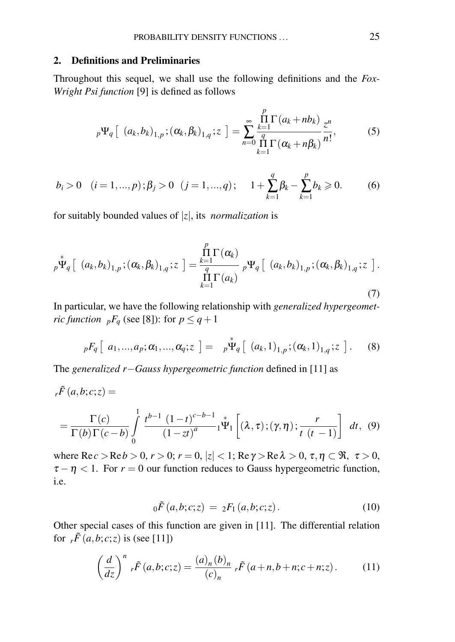#### 2. Definitions and Preliminaries

Throughout this sequel, we shall use the following definitions and the *Fox-Wright Psi function* [9] is defined as follows

$$
{}_{p}\Psi_{q}\left[\left(a_{k},b_{k}\right)_{1,p};\left(\alpha_{k},\beta_{k}\right)_{1,q};z\right]=\sum_{n=0}^{\infty}\frac{\prod\limits_{k=1}^{p}\Gamma\left(a_{k}+nb_{k}\right)}{\prod\limits_{k=1}^{q}\Gamma\left(\alpha_{k}+n\beta_{k}\right)}\frac{z^{n}}{n!},\qquad(5)
$$

$$
b_i > 0 \quad (i = 1, ..., p); \beta_j > 0 \quad (j = 1, ..., q); \quad 1 + \sum_{k=1}^{q} \beta_k - \sum_{k=1}^{p} b_k \ge 0. \tag{6}
$$

for suitably bounded values of |*z*|, its *normalization* is

$$
{}_{p}\stackrel{*}{\Psi}_{q}\left[\begin{array}{cc} (a_{k},b_{k})_{1,p} ; (\alpha_{k},\beta_{k})_{1,q} ; z \end{array}\right] = \frac{\prod\limits_{k=1}^{p} \Gamma(\alpha_{k})}{\prod\limits_{k=1}^{q} \Gamma(a_{k})} {}_{p}\Psi_{q}\left[\begin{array}{cc} (a_{k},b_{k})_{1,p} ; (\alpha_{k},\beta_{k})_{1,q} ; z \end{array}\right].
$$
\n(7)

In particular, we have the following relationship with *generalized hypergeometric function*  $pF_q$  (see [8]): for  $p \leq q+1$ 

$$
{}_{p}F_{q}\left[\ a_{1},...,a_{p};\alpha_{1},...,\alpha_{q};z\ \right]=\ {}_{p}\Psi_{q}\left[\ (a_{k},1)_{1,p};(\alpha_{k},1)_{1,q};z\ \right].
$$
 (8)

The *generalized r*−*Gauss hypergeometric function* defined in [11] as

$$
{}_{r}\tilde{F}(a,b;c;z) =
$$
  
=  $\frac{\Gamma(c)}{\Gamma(b)\Gamma(c-b)} \int_{0}^{1} \frac{t^{b-1} (1-t)^{c-b-1}}{(1-zt)^{a}} {}_{1}^{*}\Psi_{1}\left[ (\lambda,\tau);(\gamma,\eta); \frac{r}{t(t-1)} \right] dt$ , (9)

where  $\text{Re } c > \text{Re } b > 0$ ,  $r > 0$ ;  $r = 0$ ,  $|z| < 1$ ;  $\text{Re } \gamma > \text{Re } \lambda > 0$ ,  $\tau, \eta \subset \Re, \tau > 0$ ,  $\tau - \eta < 1$ . For  $r = 0$  our function reduces to Gauss hypergeometric function, i.e.

$$
{}_0\tilde{F}(a,b;c;z) = {}_2F_1(a,b;c;z).
$$
 (10)

Other special cases of this function are given in [11]. The differential relation for  $r\tilde{F}(a,b;c;z)$  is (see [11])

$$
\left(\frac{d}{dz}\right)^n r\tilde{F}(a,b;c;z) = \frac{(a)_n (b)_n}{(c)_n} r\tilde{F}(a+n,b+n;c+n;z).
$$
 (11)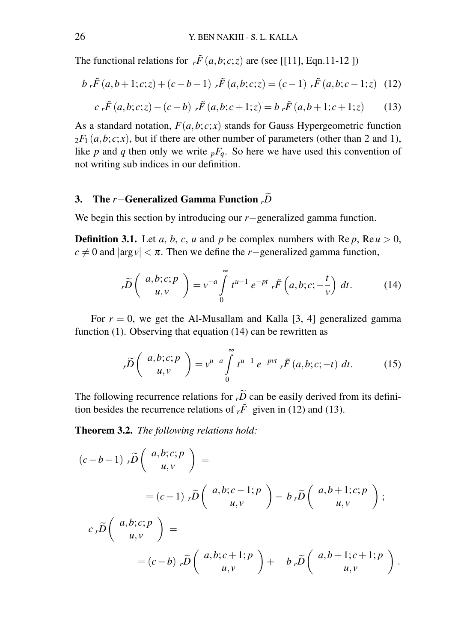The functional relations for  $r \tilde{F}(a,b;c;z)$  are (see [[11], Eqn.11-12 ])

$$
b_r \tilde{F}(a, b+1; c; z) + (c - b - 1) \tilde{F}(a, b; c; z) = (c - 1) \tilde{F}(a, b; c - 1; z)
$$
 (12)

$$
c_r \tilde{F}(a,b;c;z) - (c-b) \cdot_r \tilde{F}(a,b;c+1;z) = b_r \tilde{F}(a,b+1;c+1;z) \tag{13}
$$

As a standard notation,  $F(a,b;c;x)$  stands for Gauss Hypergeometric function  $2F_1(a,b;c;x)$ , but if there are other number of parameters (other than 2 and 1), like *p* and *q* then only we write  $pF_q$ . So here we have used this convention of not writing sub indices in our definition.

# 3. The *<sup>r</sup>*−Generalized Gamma Function *<sup>r</sup>D*<sup>e</sup>

We begin this section by introducing our *r*−generalized gamma function.

**Definition 3.1.** Let *a*, *b*, *c*, *u* and *p* be complex numbers with Re *p*, Re  $u > 0$ ,  $c \neq 0$  and  $|\arg y| < \pi$ . Then we define the *r*−generalized gamma function,

$$
{}_{r}\widetilde{D}\left(\begin{array}{c}a,b;c;p\\u,v\end{array}\right)=v^{-a}\int\limits_{0}^{\infty}t^{u-1}e^{-pt}{}_{r}\widetilde{F}\left(a,b;c;-\frac{t}{v}\right)dt.\tag{14}
$$

For  $r = 0$ , we get the Al-Musallam and Kalla [3, 4] generalized gamma function (1). Observing that equation (14) can be rewritten as

$$
{}_{r}\widetilde{D}\left(\begin{array}{c}a,b;c;p\\u,v\end{array}\right)=v^{u-a}\int\limits_{0}^{\infty}t^{u-1}e^{-pvt}{}_{r}\widetilde{F}\left(a,b;c;-t\right)dt.
$$
 (15)

The following recurrence relations for  $r\tilde{D}$  can be easily derived from its definition besides the recurrence relations of  $r\tilde{F}$  given in (12) and (13).

Theorem 3.2. *The following relations hold:*

$$
(c-b-1) \cdot \tilde{D} \begin{pmatrix} a,b;c;p \\ u,v \end{pmatrix} =
$$
  
=  $(c-1) \cdot \tilde{D} \begin{pmatrix} a,b;c-1;p \\ u,v \end{pmatrix} - b \cdot \tilde{D} \begin{pmatrix} a,b+1;c;p \\ u,v \end{pmatrix};$   

$$
c \cdot \tilde{D} \begin{pmatrix} a,b;c;p \\ u,v \end{pmatrix} =
$$
  
=  $(c-b) \cdot \tilde{D} \begin{pmatrix} a,b;c+1;p \\ u,v \end{pmatrix} + b \cdot \tilde{D} \begin{pmatrix} a,b+1;c+1;p \\ u,v \end{pmatrix}$ 

.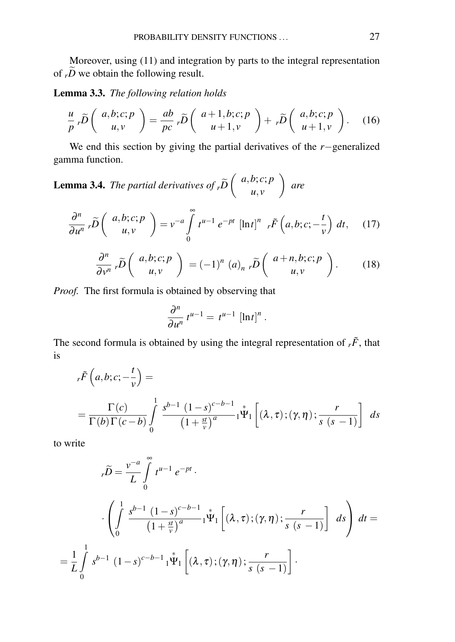Moreover, using (11) and integration by parts to the integral representation of  $\overrightarrow{p}$  we obtain the following result.

Lemma 3.3. *The following relation holds*

$$
\frac{u}{p}r\widetilde{D}\left(\begin{array}{c}a,b;c;p\\u,v\end{array}\right)=\frac{ab}{pc}r\widetilde{D}\left(\begin{array}{c}a+1,b;c;p\\u+1,v\end{array}\right)+r\widetilde{D}\left(\begin{array}{c}a,b;c;p\\u+1,v\end{array}\right).
$$
 (16)

We end this section by giving the partial derivatives of the *r*−generalized gamma function.

**Lemma 3.4.** The partial derivatives of 
$$
_{r}\tilde{D}\begin{pmatrix} a,b;c;p \\ u,v \end{pmatrix}
$$
 are

$$
\frac{\partial^n}{\partial u^n} r \widetilde{D} \left( \begin{array}{c} a,b;c;p \\ u,v \end{array} \right) = v^{-a} \int_0^\infty t^{u-1} e^{-pt} \left[ \ln t \right]^n r \widetilde{F} \left( a,b;c; -\frac{t}{v} \right) dt, \quad (17)
$$

$$
\frac{\partial^n}{\partial v^n} r \widetilde{D} \left( \begin{array}{c} a,b;c;p \\ u,v \end{array} \right) = (-1)^n (a)_{n} r \widetilde{D} \left( \begin{array}{c} a+n,b;c;p \\ u,v \end{array} \right).
$$
 (18)

*Proof.* The first formula is obtained by observing that

$$
\frac{\partial^n}{\partial u^n} t^{u-1} = t^{u-1} [\ln t]^n.
$$

The second formula is obtained by using the integral representation of  $r\tilde{F}$ , that is

$$
{}_{r}\tilde{F}\left(a,b;c;-\frac{t}{v}\right) =
$$
  
=  $\frac{\Gamma(c)}{\Gamma(b)\Gamma(c-b)} \int_{0}^{1} \frac{s^{b-1} (1-s)^{c-b-1}}{(1+\frac{st}{v})^{a}} 1^{\frac{s}{2}} \left[ (\lambda,\tau);(\gamma,\eta); \frac{r}{s (s-1)} \right] ds$ 

to write

=

$$
r\widetilde{D} = \frac{v^{-a}}{L} \int_{0}^{\infty} t^{u-1} e^{-pt}.
$$
  

$$
\cdot \left( \int_{0}^{1} \frac{s^{b-1} (1-s)^{c-b-1}}{(1+\frac{st}{v})^a} {}_1 \Psi_1 \left[ (\lambda, \tau); (\gamma, \eta) ; \frac{r}{s (s-1)} \right] ds \right) dt =
$$
  

$$
\frac{1}{L} \int_{0}^{1} s^{b-1} (1-s)^{c-b-1} {}_1 \Psi_1 \left[ (\lambda, \tau); (\gamma, \eta) ; \frac{r}{s (s-1)} \right].
$$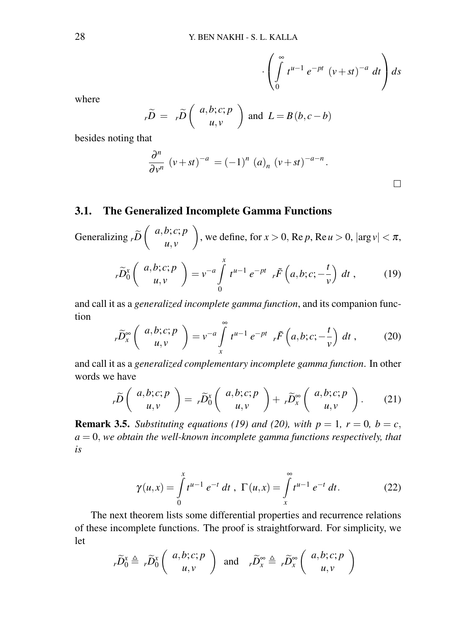$$
\cdot \left( \int\limits_{0}^{\infty} t^{u-1} e^{-pt} (v+st)^{-a} dt \right) ds
$$

where

$$
r\widetilde{D} = r\widetilde{D}\left(\begin{array}{c}a,b;c;p\\u,v\end{array}\right) \text{ and } L = B(b,c-b)
$$

besides noting that

$$
\frac{\partial^n}{\partial v^n} (v+st)^{-a} = (-1)^n (a)_n (v+st)^{-a-n}.
$$

# 3.1. The Generalized Incomplete Gamma Functions

Generalizing  $\widetilde{p}$   $\left( \begin{array}{c} a,b;c;p \\ u,v \end{array} \right)$ *u*, *v* ), we define, for  $x > 0$ , Re *p*, Re *u* > 0,  $|\arg v| < \pi$ ,

$$
{}_{r}\widetilde{D}_{0}^{x}\left(\begin{array}{c}a,b;c;p\\u,v\end{array}\right)=v^{-a}\int_{0}^{x}t^{u-1}e^{-pt}{}_{r}\widetilde{F}\left(a,b;c;-\frac{t}{v}\right)dt\,,\qquad(19)
$$

and call it as a *generalized incomplete gamma function*, and its companion function

$$
{}_{r}\widetilde{D}_{x}^{\infty}\left(\begin{array}{c}a,b;c;p\\u,v\end{array}\right)=v^{-a}\int\limits_{x}^{\infty}t^{u-1}e^{-pt}{}_{r}\widetilde{F}\left(a,b;c;-\frac{t}{v}\right)dt\,,\qquad(20)
$$

and call it as a *generalized complementary incomplete gamma function*. In other words we have

$$
{}_{r}\widetilde{D}\left(\begin{array}{c}a,b;c;p\\u,v\end{array}\right)= {}_{r}\widetilde{D}_{0}^{x}\left(\begin{array}{c}a,b;c;p\\u,v\end{array}\right)+ {}_{r}\widetilde{D}_{x}^{\infty}\left(\begin{array}{c}a,b;c;p\\u,v\end{array}\right).
$$
 (21)

**Remark 3.5.** *Substituting equations (19) and (20), with*  $p = 1$ *,*  $r = 0$ *,*  $b = c$ *,*  $a = 0$ , we obtain the well-known incomplete gamma functions respectively, that *is*

$$
\gamma(u,x) = \int_{0}^{x} t^{u-1} e^{-t} dt, \ \Gamma(u,x) = \int_{x}^{\infty} t^{u-1} e^{-t} dt.
$$
 (22)

The next theorem lists some differential properties and recurrence relations of these incomplete functions. The proof is straightforward. For simplicity, we let

$$
r\widetilde{D}_0^x \triangleq r\widetilde{D}_0^x \left( \begin{array}{c} a,b;c;p \\ u,v \end{array} \right) \text{ and } r\widetilde{D}_x^{\infty} \triangleq r\widetilde{D}_x^{\infty} \left( \begin{array}{c} a,b;c;p \\ u,v \end{array} \right)
$$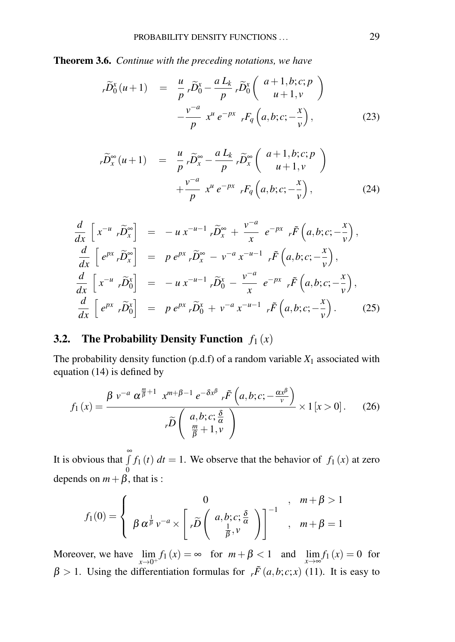Theorem 3.6. *Continue with the preceding notations, we have*

$$
r\widetilde{D}_0^x(u+1) = \frac{u}{p} r\widetilde{D}_0^x - \frac{a L_k}{p} r\widetilde{D}_0^x\left(\begin{array}{c} a+1,b;c;p\\u+1,v\end{array}\right)
$$

$$
-\frac{v^{-a}}{p} x^u e^{-px} rF_q\left(a,b;c;-\frac{x}{v}\right), \qquad (23)
$$

$$
r\widetilde{D}_x^{\infty}(u+1) = \frac{u}{p} r\widetilde{D}_x^{\infty} - \frac{a L_k}{p} r\widetilde{D}_x^{\infty}\left(\begin{array}{c} a+1,b;c;p\\ u+1,v \end{array}\right) + \frac{v^{-a}}{p} x^u e^{-px} rF_q\left(a,b;c;-\frac{x}{v}\right), \tag{24}
$$

$$
\frac{d}{dx}\begin{bmatrix}x^{-u} \cdot \widetilde{D}_x^{\infty}\end{bmatrix} = -u x^{-u-1} \cdot \widetilde{D}_x^{\infty} + \frac{v^{-a}}{x} e^{-px} \cdot \widetilde{F}\left(a,b;c;-\frac{x}{v}\right),
$$
\n
$$
\frac{d}{dx}\begin{bmatrix}e^{px} \cdot \widetilde{D}_x^{\infty}\end{bmatrix} = p e^{px} \cdot \widetilde{D}_x^{\infty} - v^{-a} x^{-u-1} \cdot \widetilde{F}\left(a,b;c;-\frac{x}{v}\right),
$$
\n
$$
\frac{d}{dx}\begin{bmatrix}x^{-u} \cdot \widetilde{D}_0^x\end{bmatrix} = -u x^{-u-1} \cdot \widetilde{D}_0^x - \frac{v^{-a}}{x} e^{-px} \cdot \widetilde{F}\left(a,b;c;-\frac{x}{v}\right),
$$
\n
$$
\frac{d}{dx}\begin{bmatrix}e^{px} \cdot \widetilde{D}_0^x\end{bmatrix} = p e^{px} \cdot \widetilde{D}_0^x + v^{-a} x^{-u-1} \cdot \widetilde{F}\left(a,b;c;-\frac{x}{v}\right).
$$
\n(25)

# 3.2. The Probability Density Function  $f_1(x)$

The probability density function  $(p.d.f)$  of a random variable  $X_1$  associated with equation (14) is defined by

$$
f_1(x) = \frac{\beta v^{-a} \alpha^{\frac{m}{\beta}+1} x^{m+\beta-1} e^{-\delta x^{\beta}} r^{\tilde{F}}\left(a, b; c; -\frac{\alpha x^{\beta}}{v}\right)}{r^{\tilde{D}}\left(\frac{a, b; c; \frac{\delta}{\alpha}}{\frac{m}{\beta}+1, v}\right)} \times 1 [x > 0].
$$
 (26)

It is obvious that  $\int_0^{\infty}$  $\boldsymbol{0}$  $f_1(t)$  *dt* = 1. We observe that the behavior of  $f_1(x)$  at zero depends on  $m + \beta$ , that is :

$$
f_1(0) = \begin{cases} 0 & , m + \beta > 1 \\ \beta \alpha^{\frac{1}{\beta}} v^{-a} \times \left[ r \widetilde{D} \left( \begin{array}{c} a, b; c; \frac{\delta}{\alpha} \\ \frac{1}{\beta}, v \end{array} \right) \right]^{-1} , m + \beta = 1 \end{cases}
$$

Moreover, we have  $\lim_{x\to 0^+} f_1(x) = \infty$  for  $m + \beta < 1$  and  $\lim_{x\to \infty} f_1(x) = 0$  for  $β > 1$ . Using the differentiation formulas for  $r \tilde{F}(a,b;c;x)$  (11). It is easy to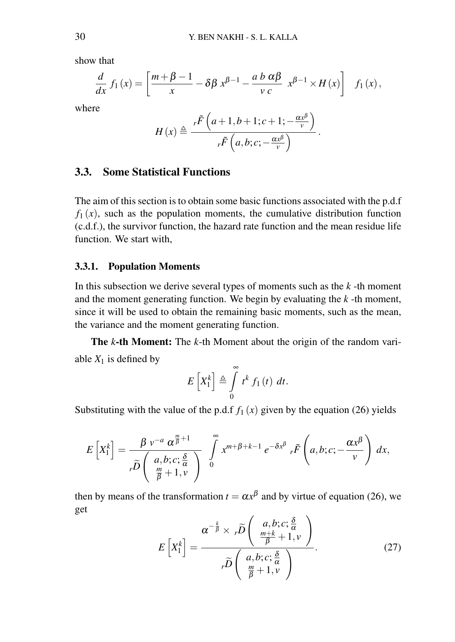show that

$$
\frac{d}{dx} f_1(x) = \left[ \frac{m + \beta - 1}{x} - \delta \beta x^{\beta - 1} - \frac{a b \alpha \beta}{v c} x^{\beta - 1} \times H(x) \right] f_1(x),
$$
  
where  

$$
H(x) \triangleq \frac{r \tilde{F} \left( a + 1, b + 1; c + 1; -\frac{\alpha x^{\beta}}{v} \right)}{r \tilde{F} \left( a, b; c; -\frac{\alpha x^{\beta}}{v} \right)}.
$$

 $r\tilde{F}$   $\left(a,b;c;-\frac{\alpha x^{\beta}}{v}\right)$ 

#### 3.3. Some Statistical Functions

The aim of this section is to obtain some basic functions associated with the p.d.f  $f_1(x)$ , such as the population moments, the cumulative distribution function (c.d.f.), the survivor function, the hazard rate function and the mean residue life function. We start with,

### 3.3.1. Population Moments

In this subsection we derive several types of moments such as the *k* -th moment and the moment generating function. We begin by evaluating the *k* -th moment, since it will be used to obtain the remaining basic moments, such as the mean, the variance and the moment generating function.

The *k*-th Moment: The *k*-th Moment about the origin of the random variable  $X_1$  is defined by

$$
E\left[X_1^k\right] \triangleq \int\limits_0^\infty t^k f_1(t) dt.
$$

Substituting with the value of the p.d.f  $f_1(x)$  given by the equation (26) yields

$$
E\left[X_1^k\right] = \frac{\beta v^{-a} \alpha^{\frac{m}{\beta}+1}}{v\widetilde{D}\left(\begin{array}{c} a,b;c; \frac{\delta}{\alpha} \\ \frac{m}{\beta}+1, v \end{array}\right)} \int\limits_0^\infty x^{m+\beta+k-1} e^{-\delta x^\beta} r \widetilde{F}\left(a,b;c; -\frac{\alpha x^\beta}{v}\right) dx,
$$

then by means of the transformation  $t = \alpha x^{\beta}$  and by virtue of equation (26), we get

$$
E\left[X_1^k\right] = \frac{\alpha^{-\frac{k}{\beta}} \times r\widetilde{D}\left(\begin{array}{c} a,b;c; \frac{\delta}{\alpha} \\ \frac{m+k}{\beta}+1, v \end{array}\right)}{r\widetilde{D}\left(\begin{array}{c} a,b;c; \frac{\delta}{\alpha} \\ \frac{m}{\beta}+1, v \end{array}\right)}.
$$
(27)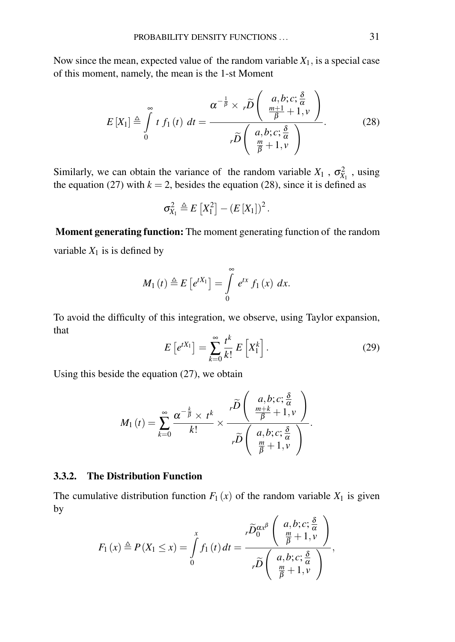Now since the mean, expected value of the random variable  $X_1$ , is a special case of this moment, namely, the mean is the 1-st Moment

$$
E\left[X_{1}\right] \stackrel{\triangle}{=} \int_{0}^{\infty} t f_{1}(t) dt = \frac{\alpha^{-\frac{1}{\beta}} \times r\widetilde{D}\left(\begin{array}{c} a,b;c; \frac{\delta}{\alpha} \\ \frac{m+1}{\beta}+1, v \\ \frac{m}{\beta}+1, v \end{array}\right)}{r\widetilde{D}\left(\begin{array}{c} a,b;c; \frac{\delta}{\alpha} \\ \frac{m}{\beta}+1, v \end{array}\right)}.
$$
 (28)

Similarly, we can obtain the variance of the random variable  $X_1$ ,  $\sigma_{X_1}^2$ , using the equation (27) with  $k = 2$ , besides the equation (28), since it is defined as

$$
\sigma_{X_1}^2 \triangleq E\left[X_1^2\right] - \left(E\left[X_1\right]\right)^2.
$$

Moment generating function: The moment generating function of the random variable  $X_1$  is is defined by

$$
M_1(t) \triangleq E\left[e^{tX_1}\right] = \int\limits_0^\infty e^{tx} f_1(x) \, dx.
$$

To avoid the difficulty of this integration, we observe, using Taylor expansion, that

$$
E\left[e^{tX_1}\right] = \sum_{k=0}^{\infty} \frac{t^k}{k!} E\left[X_1^k\right].
$$
 (29)

Using this beside the equation (27), we obtain

$$
M_1(t) = \sum_{k=0}^{\infty} \frac{\alpha^{-\frac{k}{\beta}} \times t^k}{k!} \times \frac{r\widetilde{D}\left(\begin{array}{c} a,b;c;\frac{\delta}{\alpha}\\ \frac{m+k}{\beta}+1,v \end{array}\right)}{r\widetilde{D}\left(\begin{array}{c} a,b;c;\frac{\delta}{\alpha}\\ \frac{m}{\beta}+1,v \end{array}\right)}.
$$

### 3.3.2. The Distribution Function

The cumulative distribution function  $F_1(x)$  of the random variable  $X_1$  is given by  $\mathcal{L}$  $\sim$ 

$$
F_1(x) \triangleq P(X_1 \le x) = \int_0^x f_1(t) dt = \frac{r \widetilde{D}_0^{\alpha x^{\beta}} \left( \begin{array}{c} a, b; c; \frac{\delta}{\alpha} \\ \frac{m}{\beta} + 1, v \end{array} \right)}{r \widetilde{D} \left( \begin{array}{c} a, b; c; \frac{\delta}{\alpha} \\ \frac{m}{\beta} + 1, v \end{array} \right)},
$$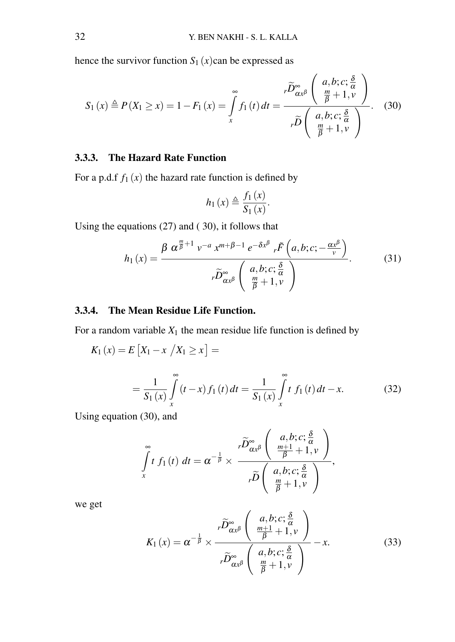hence the survivor function  $S_1(x)$ can be expressed as

$$
S_1(x) \triangleq P(X_1 \ge x) = 1 - F_1(x) = \int_{x}^{\infty} f_1(t) dt = \frac{r \widetilde{D}_{\alpha x}^{\infty} \left( \frac{a, b; c; \frac{\delta}{\alpha}}{\frac{m}{\beta} + 1, v} \right)}{r \widetilde{D} \left( \frac{a, b; c; \frac{\delta}{\alpha}}{\frac{m}{\beta} + 1, v} \right)}.
$$
 (30)

# 3.3.3. The Hazard Rate Function

For a p.d.f  $f_1(x)$  the hazard rate function is defined by

$$
h_1(x) \triangleq \frac{f_1(x)}{S_1(x)}.
$$

Using the equations (27) and ( 30), it follows that

$$
h_1(x) = \frac{\beta \alpha^{\frac{m}{\beta}+1} v^{-a} x^{m+\beta-1} e^{-\delta x^{\beta}} r \tilde{F}\left(a, b; c; -\frac{\alpha x^{\beta}}{v}\right)}{r \widetilde{D}_{\alpha x^{\beta}}^{\infty} \left(\begin{array}{c} a, b; c; \frac{\delta}{\alpha} \\ \frac{m}{\beta}+1, v \end{array}\right)}.
$$
 (31)

### 3.3.4. The Mean Residue Life Function.

For a random variable  $X_1$  the mean residue life function is defined by

$$
K_1(x) = E\left[X_1 - x \middle| X_1 \ge x\right] =
$$
  
= 
$$
\frac{1}{S_1(x)} \int_{x}^{\infty} (t - x) f_1(t) dt = \frac{1}{S_1(x)} \int_{x}^{\infty} t f_1(t) dt - x.
$$
 (32)

Using equation (30), and

$$
\int_{x}^{\infty} t f_1(t) dt = \alpha^{-\frac{1}{\beta}} \times \frac{r \widetilde{D}_{\alpha x}^{\infty} \left( \begin{array}{c} a, b; c; \frac{\delta}{\alpha} \\ \frac{m+1}{\beta} + 1, v \\ r \widetilde{D} \left( \begin{array}{c} a, b; c; \frac{\delta}{\alpha} \\ \frac{m}{\beta} + 1, v \end{array} \right), \\ \frac{m}{\beta} + 1, v \end{array} \right)
$$

we get

$$
K_1(x) = \alpha^{-\frac{1}{\beta}} \times \frac{\tilde{D}_{\alpha x^{\beta}}^{\infty} \left( \frac{a, b; c; \frac{\delta}{\alpha}}{\frac{m+1}{\beta} + 1, v} \right)}{\tilde{D}_{\alpha x^{\beta}}^{\infty} \left( \frac{a, b; c; \frac{\delta}{\alpha}}{\frac{m}{\beta} + 1, v} \right)} - x.
$$
 (33)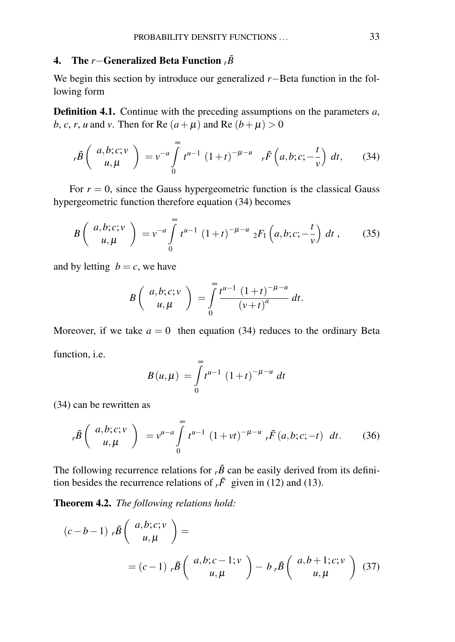### 4. The *r*−Generalized Beta Function *<sup>r</sup>B*˜

We begin this section by introduce our generalized *r*−Beta function in the following form

Definition 4.1. Continue with the preceding assumptions on the parameters *a*, *b*, *c*, *r*, *u* and *v*. Then for Re  $(a + \mu)$  and Re  $(b + \mu) > 0$ 

$$
r\tilde{B}\left(\begin{array}{c}a,b;c;v\\u,\mu\end{array}\right)=v^{-a}\int\limits_{0}^{\infty}t^{u-1}(1+t)^{-\mu-u} \quad r\tilde{F}\left(a,b;c;-\frac{t}{v}\right)dt,\qquad(34)
$$

For  $r = 0$ , since the Gauss hypergeometric function is the classical Gauss hypergeometric function therefore equation (34) becomes

$$
B\left(\begin{array}{c}a,b;c;\nu\\u,\mu\end{array}\right)=\nu^{-a}\int\limits_{0}^{\infty}t^{u-1}(1+t)^{-\mu-u}{}_{2}F_{1}\left(a,b;c;-\frac{t}{\nu}\right)dt\,,\qquad(35)
$$

and by letting  $b = c$ , we have

$$
B\left(\begin{array}{c}a,b;c;v\\u,\mu\end{array}\right)=\int\limits_{0}^{\infty}\frac{t^{u-1}(1+t)^{-\mu-u}}{(v+t)^{a}}dt.
$$

Moreover, if we take  $a = 0$  then equation (34) reduces to the ordinary Beta function, i.e.

$$
B(u,\mu) = \int_{0}^{\infty} t^{u-1} (1+t)^{-\mu-u} dt
$$

(34) can be rewritten as

$$
{}_{r}\tilde{B}\left(\begin{array}{c} a,b;c;v\\ u,\mu \end{array}\right) = v^{u-a} \int_{0}^{\infty} t^{u-1} (1+vt)^{-\mu-u} {}_{r}\tilde{F}(a,b;c;-t) dt.
$$
 (36)

The following recurrence relations for  $r\tilde{B}$  can be easily derived from its definition besides the recurrence relations of  ${}_{r}\tilde{F}$  given in (12) and (13).

Theorem 4.2. *The following relations hold:*

$$
(c-b-1) \; _r\tilde{B} \left( \begin{array}{c} a,b;c;\nu \\ u,\mu \end{array} \right) =
$$
  
=  $(c-1) \; _r\tilde{B} \left( \begin{array}{c} a,b;c-1;\nu \\ u,\mu \end{array} \right) - b \; _r\tilde{B} \left( \begin{array}{c} a,b+1;c;\nu \\ u,\mu \end{array} \right) (37)$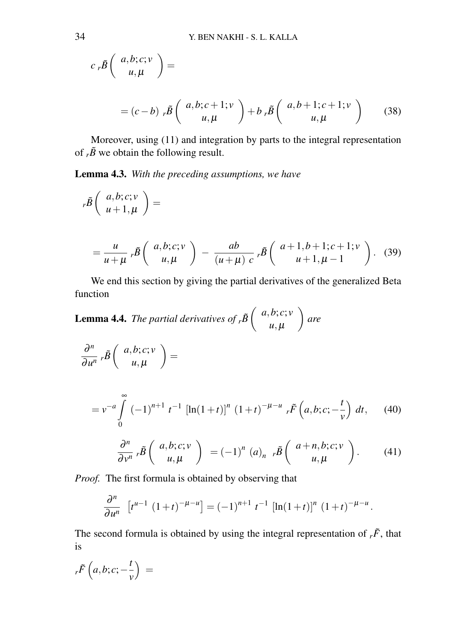$$
c_r\tilde{B}\left(\begin{array}{c}a,b;c;v\\u,\mu\end{array}\right)=
$$

$$
= (c-b) \cdot \tilde{B}\left(\begin{array}{c} a,b;c+1;\nu \\ u,\mu \end{array}\right) + b \cdot \tilde{B}\left(\begin{array}{c} a,b+1;c+1;\nu \\ u,\mu \end{array}\right) \tag{38}
$$

Moreover, using (11) and integration by parts to the integral representation of  $r\tilde{B}$  we obtain the following result.

Lemma 4.3. *With the preceding assumptions, we have*

$$
r\tilde{B}\left(\begin{array}{c} a,b;c;\nu\\ u+1,\mu \end{array}\right) =
$$
  
=  $\frac{u}{u+\mu}r\tilde{B}\left(\begin{array}{c} a,b;c;\nu\\ u,\mu \end{array}\right) - \frac{ab}{(u+\mu)c}r\tilde{B}\left(\begin{array}{c} a+1,b+1;c+1;\nu\\ u+1,\mu-1 \end{array}\right).$  (39)

We end this section by giving the partial derivatives of the generalized Beta function

**Lemma 4.4.** *The partial derivatives of*  $_r\tilde{B}$  $\begin{pmatrix} a,b;c;v\\ u, u \end{pmatrix}$  $u, \mu$ *are*

$$
\frac{\partial^n}{\partial u^n}\,r\tilde{B}\left(\begin{array}{c}a,b;c;v\\u,\mu\end{array}\right)=
$$

Z∞

$$
=v^{-a}\int_{0}^{\infty}(-1)^{n+1}t^{-1}\left[\ln(1+t)\right]^{n}(1+t)^{-\mu-u}r\tilde{F}\left(a,b;c;-\frac{t}{v}\right)dt,\qquad(40)
$$

$$
\frac{\partial^n}{\partial v^n} r\tilde{B}\left(\begin{array}{c} a,b;c;v\\u,\mu\end{array}\right) = (-1)^n (a)_{n-r}\tilde{B}\left(\begin{array}{c} a+n,b;c;v\\u,\mu\end{array}\right).
$$
 (41)

*Proof.* The first formula is obtained by observing that

$$
\frac{\partial^n}{\partial u^n} \left[ t^{u-1} \left( 1+t \right)^{-\mu-u} \right] = (-1)^{n+1} t^{-1} \left[ \ln(1+t) \right]^n (1+t)^{-\mu-u}.
$$

The second formula is obtained by using the integral representation of  ${}_{r}\tilde{F}$ , that is

$$
{}_{r}\tilde{F}\left(a,b;c;-\frac{t}{v}\right) \,=\,
$$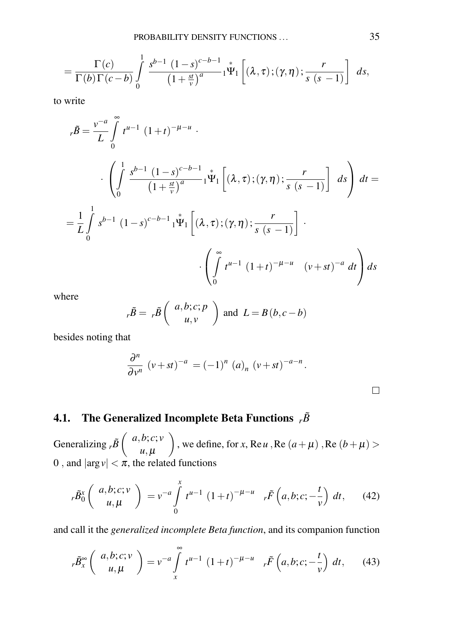$$
=\frac{\Gamma(c)}{\Gamma(b)\Gamma(c-b)}\int\limits_{0}^{1}\frac{s^{b-1}(1-s)^{c-b-1}}{(1+\frac{st}{v})^{a}}\Gamma\prod_{i=1}^{k}\left[\left(\lambda,\tau\right);\left(\gamma,\eta\right);\frac{r}{s\left(s-1\right)}\right]ds,
$$

to write

$$
r\tilde{B} = \frac{v^{-a}}{L} \int_{0}^{\infty} t^{\mu-1} (1+t)^{-\mu-\mu} .
$$
  

$$
\cdot \left( \int_{0}^{1} \frac{s^{b-1} (1-s)^{c-b-1}}{(1+\frac{st}{v})^{a}} 1^{\Psi_{1}} \left[ (\lambda, \tau); (\gamma, \eta); \frac{r}{s (s-1)} \right] ds \right) dt =
$$
  

$$
= \frac{1}{L} \int_{0}^{1} s^{b-1} (1-s)^{c-b-1} 1^{\Psi_{1}} \left[ (\lambda, \tau); (\gamma, \eta); \frac{r}{s (s-1)} \right] .
$$
  

$$
\cdot \left( \int_{0}^{\infty} t^{\mu-1} (1+t)^{-\mu-\mu} (v+st)^{-a} dt \right) ds
$$

where

$$
_{r}\tilde{B} = {}_{r}\tilde{B} \left( \begin{array}{c} a,b;c;p \\ u,v \end{array} \right)
$$
 and  $L = B(b,c-b)$ 

besides noting that

$$
\frac{\partial^n}{\partial v^n} (v+st)^{-a} = (-1)^n (a)_n (v+st)^{-a-n}.
$$

# 4.1. The Generalized Incomplete Beta Functions  $r\tilde{B}$

Generalizing  $r\tilde{B}$   $\begin{pmatrix} a,b;c;v\\ u,d \end{pmatrix}$  $u, \mu$ ), we define, for *x*, Re *u*, Re  $(a + \mu)$ , Re  $(b + \mu)$ 0, and  $|\arg v| < \pi$ , the related functions

$$
{}_{r}\tilde{B}_{0}^{x}\left(\begin{array}{c}a,b;c;v\\u,\mu\end{array}\right) = v^{-a}\int_{0}^{x}t^{u-1}(1+t)^{-\mu-u} {}_{r}\tilde{F}\left(a,b;c;-\frac{t}{v}\right)dt, \qquad (42)
$$

and call it the *generalized incomplete Beta function*, and its companion function

$$
r\widetilde{B}_{x}^{\infty}\left(\begin{array}{c}a,b;c;v\\u,\mu\end{array}\right)=v^{-a}\int\limits_{x}^{\infty}t^{u-1}(1+t)^{-\mu-u}r\widetilde{F}\left(a,b;c;-\frac{t}{v}\right)dt,\qquad(43)
$$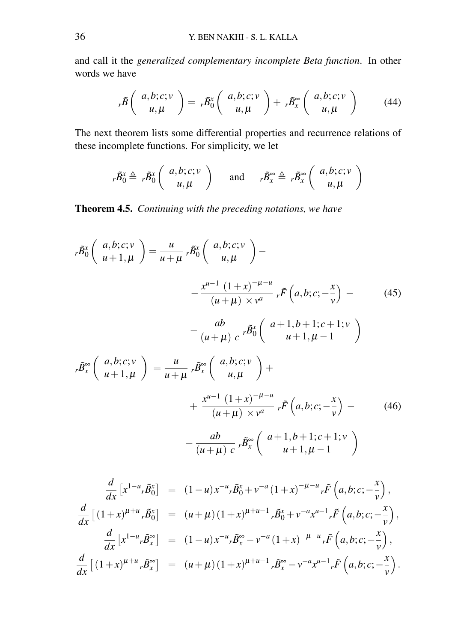and call it the *generalized complementary incomplete Beta function*. In other words we have

$$
r\tilde{B}\left(\begin{array}{c}a,b;c;\nu\\u,\mu\end{array}\right)=r\tilde{B}_0^x\left(\begin{array}{c}a,b;c;\nu\\u,\mu\end{array}\right)+r\tilde{B}_x^\infty\left(\begin{array}{c}a,b;c;\nu\\u,\mu\end{array}\right)\qquad(44)
$$

The next theorem lists some differential properties and recurrence relations of these incomplete functions. For simplicity, we let

$$
r\tilde{B}_0^x \triangleq r\tilde{B}_0^x \left( \begin{array}{c} a,b;c;v \\ u,\mu \end{array} \right) \quad \text{and} \quad r\tilde{B}_x^{\infty} \triangleq r\tilde{B}_x^{\infty} \left( \begin{array}{c} a,b;c;v \\ u,\mu \end{array} \right)
$$

Theorem 4.5. *Continuing with the preceding notations, we have*

$$
{}_{r}\tilde{B}_{0}^{x}\left(\begin{array}{c} a,b;c;\nu \\ u+1,\mu \end{array}\right) = \frac{u}{u+\mu} {}_{r}\tilde{B}_{0}^{x}\left(\begin{array}{c} a,b;c;\nu \\ u,\mu \end{array}\right) -
$$
\n
$$
- \frac{x^{u-1}(1+x)^{-\mu-u}}{(u+\mu) \times v^{a}} {}_{r}\tilde{F}\left(a,b;c;-\frac{x}{v}\right) -
$$
\n
$$
- \frac{ab}{(u+\mu)c} {}_{r}\tilde{B}_{0}^{x}\left(\begin{array}{c} a+1,b+1;c+1;\nu \\ u+1,\mu-1 \end{array}\right)
$$
\n
$$
{}_{r}\tilde{B}_{x}^{\infty}\left(\begin{array}{c} a,b;c;\nu \\ u+1,\mu \end{array}\right) = \frac{u}{u+\mu} {}_{r}\tilde{B}_{x}^{\infty}\left(\begin{array}{c} a,b;c;\nu \\ u,\mu \end{array}\right) +
$$
\n
$$
+ \frac{x^{u-1}(1+x)^{-\mu-u}}{(u+\mu) \times v^{a}} {}_{r}\tilde{F}\left(a,b;c;-\frac{x}{v}\right) -
$$
\n
$$
- \frac{ab}{(u+\mu)c} {}_{r}\tilde{B}_{x}^{\infty}\left(\begin{array}{c} a+1,b+1;c+1;\nu \\ u+1,\mu-1 \end{array}\right)
$$
\n
$$
d\left[\begin{array}{ccc} 1-u & \tilde{\sigma}x \end{array}\right] \qquad (1 \to \infty \quad \mathbb{R}^{x}, \quad \mathbb{R}^{a}(1 \to \infty^{-\mu-u} \quad \tilde{\sigma}\left(\begin{array}{c} 1-u & \tilde{\sigma}x \end{array}\right) \qquad (1 \to \infty^{-\mu-u} \quad \tilde{\sigma}\left(\begin{array}{c} 1-u & \tilde{\sigma}x \end{array}\right)
$$

$$
\frac{d}{dx} \left[ x^{1-u} r \tilde{B}_0^x \right] = (1-u) x^{-u} r \tilde{B}_0^x + v^{-a} (1+x)^{-\mu-u} r \tilde{F} \left( a, b; c; -\frac{x}{v} \right),
$$
\n
$$
\frac{d}{dx} \left[ (1+x)^{\mu+u} r \tilde{B}_0^x \right] = (u+\mu) (1+x)^{\mu+u-1} r \tilde{B}_0^x + v^{-a} x^{\mu-1} r \tilde{F} \left( a, b; c; -\frac{x}{v} \right),
$$
\n
$$
\frac{d}{dx} \left[ x^{1-u} r \tilde{B}_x^{\infty} \right] = (1-u) x^{-u} r \tilde{B}_x^{\infty} - v^{-a} (1+x)^{-\mu-u} r \tilde{F} \left( a, b; c; -\frac{x}{v} \right),
$$
\n
$$
\frac{d}{dx} \left[ (1+x)^{\mu+u} r \tilde{B}_x^{\infty} \right] = (u+\mu) (1+x)^{\mu+u-1} r \tilde{B}_x^{\infty} - v^{-a} x^{\mu-1} r \tilde{F} \left( a, b; c; -\frac{x}{v} \right).
$$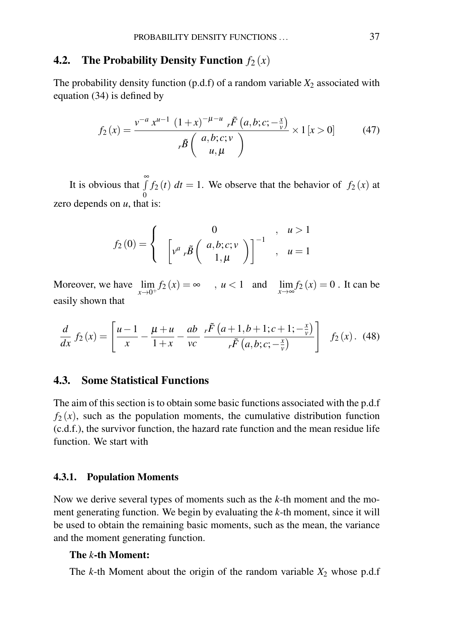# 4.2. The Probability Density Function  $f_2(x)$

The probability density function  $(p.d.f)$  of a random variable  $X_2$  associated with equation (34) is defined by

$$
f_2(x) = \frac{v^{-a} x^{u-1} (1+x)^{-\mu - u} r^{\tilde{F}}(a, b; c; -\frac{x}{v})}{r^{\tilde{B}}\binom{a, b; c; v}{u, \mu} \times 1 [x > 0] \tag{47}
$$

It is obvious that  $\int_0^\infty$  $\boldsymbol{0}$  $f_2(t)$  *dt* = 1. We observe that the behavior of  $f_2(x)$  at zero depends on *u*, that is:

$$
f_2(0) = \begin{cases} 0, & u > 1 \\ \left[ v^a \, r\tilde{B} \left( \begin{array}{c} a,b;c;v \\ 1,\mu \end{array} \right) \right]^{-1}, & u = 1 \end{cases}
$$

Moreover, we have  $\lim_{x\to 0^+} f_2(x) = \infty$ ,  $u < 1$  and  $\lim_{x\to \infty} f_2(x) = 0$ . It can be easily shown that

$$
\frac{d}{dx} f_2(x) = \left[ \frac{u-1}{x} - \frac{\mu + u}{1+x} - \frac{ab}{vc} \frac{r\tilde{F}\left(a+1,b+1;c+1;-\frac{x}{v}\right)}{r\tilde{F}\left(a,b;c;-\frac{x}{v}\right)} \right] f_2(x). \tag{48}
$$

## 4.3. Some Statistical Functions

The aim of this section is to obtain some basic functions associated with the p.d.f  $f_2(x)$ , such as the population moments, the cumulative distribution function (c.d.f.), the survivor function, the hazard rate function and the mean residue life function. We start with

#### 4.3.1. Population Moments

Now we derive several types of moments such as the *k*-th moment and the moment generating function. We begin by evaluating the *k*-th moment, since it will be used to obtain the remaining basic moments, such as the mean, the variance and the moment generating function.

## The *k*-th Moment:

The  $k$ -th Moment about the origin of the random variable  $X_2$  whose p.d.f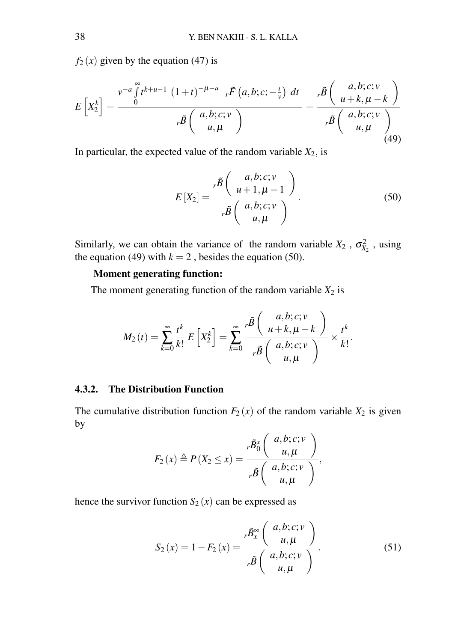$f_2(x)$  given by the equation (47) is

$$
E\left[X_2^k\right] = \frac{\int_0^{\nu-a} \int_0^{\infty} t^{k+u-1} \left(1+t\right)^{-\mu-u} r \tilde{F}\left(a,b;c;-\frac{t}{\nu}\right) dt}{r\tilde{B}\left(a,b;c;\nu\atop u,\mu\right)} = \frac{r\tilde{B}\left(\begin{array}{c} a,b;c;\nu\\ u+k,\mu-k \end{array}\right)}{r\tilde{B}\left(a,b;c;\nu\atop u,\mu\right)} \tag{49}
$$

In particular, the expected value of the random variable  $X_2$ , is

$$
E\left[X_2\right] = \frac{\kappa \tilde{B}\left(\begin{array}{c} a,b;c;\nu\\u+1,\mu-1\end{array}\right)}{\kappa \tilde{B}\left(\begin{array}{c} a,b;c;\nu\\u,\mu\end{array}\right)}.
$$
(50)

Similarly, we can obtain the variance of the random variable  $X_2$ ,  $\sigma_{X_2}^2$ , using the equation (49) with  $k = 2$ , besides the equation (50).

## Moment generating function:

The moment generating function of the random variable  $X_2$  is

$$
M_2(t) = \sum_{k=0}^{\infty} \frac{t^k}{k!} E\left[X_2^k\right] = \sum_{k=0}^{\infty} \frac{t^k}{t^k} \left(\frac{a, b; c; v}{a, b; c; v}\right) \times \frac{t^k}{k!}.
$$

## 4.3.2. The Distribution Function

The cumulative distribution function  $F_2(x)$  of the random variable  $X_2$  is given by

$$
F_2(x) \triangleq P(X_2 \leq x) = \frac{r\tilde{B}_0^x\left(\begin{array}{c} a,b;c;v\\u,\mu\end{array}\right)}{r\tilde{B}\left(\begin{array}{c} a,b;c;v\\u,\mu\end{array}\right)},
$$

hence the survivor function  $S_2(x)$  can be expressed as

$$
S_2(x) = 1 - F_2(x) = \frac{r\tilde{B}_x^{\infty} \left(\begin{array}{c} a, b; c; v \\ u, \mu \end{array}\right)}{r\tilde{B} \left(\begin{array}{c} a, b; c; v \\ u, \mu \end{array}\right)}.
$$
(51)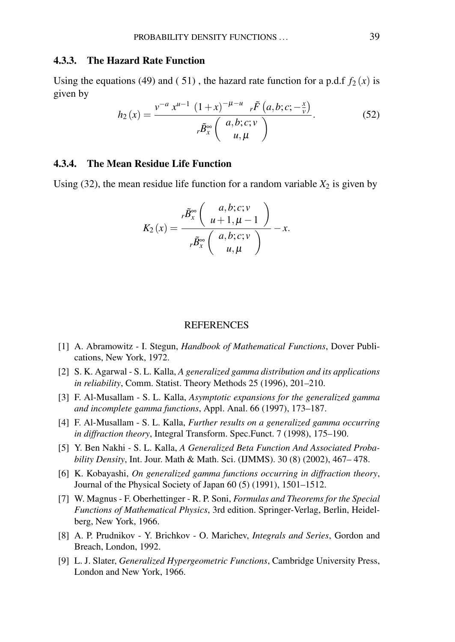### 4.3.3. The Hazard Rate Function

Using the equations (49) and (51), the hazard rate function for a p.d.f  $f_2(x)$  is given by

$$
h_2(x) = \frac{v^{-a} x^{u-1} (1+x)^{-\mu-u} r \tilde{F}(a, b; c; -\frac{x}{v})}{r \tilde{B}_x^{\infty} \begin{pmatrix} a, b; c; v \\ u, \mu \end{pmatrix}}.
$$
(52)

### 4.3.4. The Mean Residue Life Function

Using  $(32)$ , the mean residue life function for a random variable  $X_2$  is given by

$$
K_2(x) = \frac{{}_{r}\tilde{B}_{x}^{\infty}\left(\begin{array}{c} a,b;c;v\\u+1,\mu-1\end{array}\right)}{{}_{r}\tilde{B}_{x}^{\infty}\left(\begin{array}{c} a,b;c;v\\u,\mu\end{array}\right)} - x.
$$

#### REFERENCES

- [1] A. Abramowitz I. Stegun, *Handbook of Mathematical Functions*, Dover Publications, New York, 1972.
- [2] S. K. Agarwal S. L. Kalla, *A generalized gamma distribution and its applications in reliability*, Comm. Statist. Theory Methods 25 (1996), 201–210.
- [3] F. Al-Musallam S. L. Kalla, *Asymptotic expansions for the generalized gamma and incomplete gamma functions*, Appl. Anal. 66 (1997), 173–187.
- [4] F. Al-Musallam S. L. Kalla, *Further results on a generalized gamma occurring in diffraction theory*, Integral Transform. Spec.Funct. 7 (1998), 175–190.
- [5] Y. Ben Nakhi S. L. Kalla, *A Generalized Beta Function And Associated Probability Density*, Int. Jour. Math & Math. Sci. (IJMMS). 30 (8) (2002), 467– 478.
- [6] K. Kobayashi, *On generalized gamma functions occurring in diffraction theory*, Journal of the Physical Society of Japan 60 (5) (1991), 1501–1512.
- [7] W. Magnus F. Oberhettinger R. P. Soni, *Formulas and Theorems for the Special Functions of Mathematical Physics*, 3rd edition. Springer-Verlag, Berlin, Heidelberg, New York, 1966.
- [8] A. P. Prudnikov Y. Brichkov O. Marichev, *Integrals and Series*, Gordon and Breach, London, 1992.
- [9] L. J. Slater, *Generalized Hypergeometric Functions*, Cambridge University Press, London and New York, 1966.